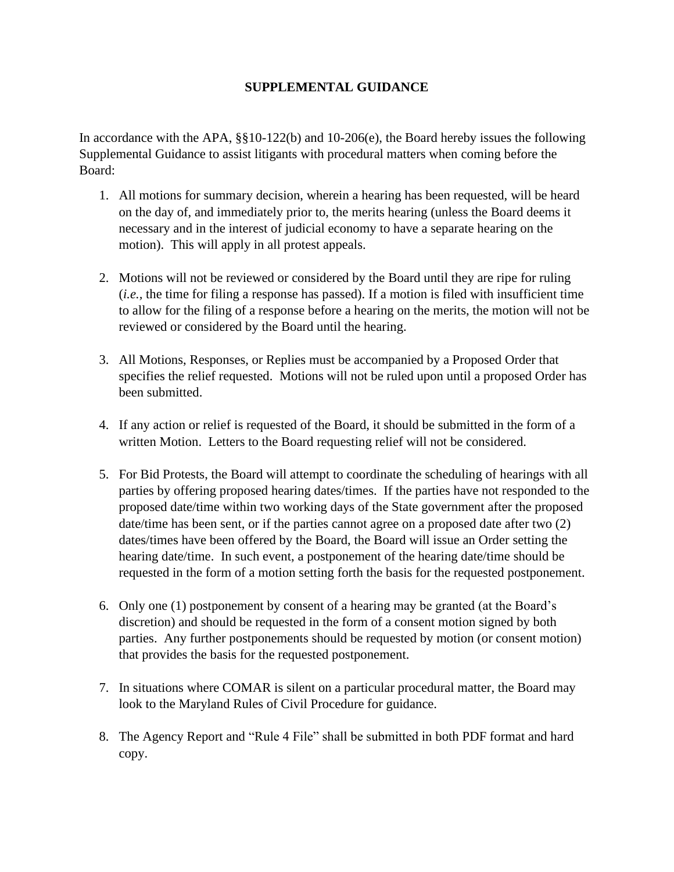## **SUPPLEMENTAL GUIDANCE**

In accordance with the APA, §§10-122(b) and 10-206(e), the Board hereby issues the following Supplemental Guidance to assist litigants with procedural matters when coming before the Board:

- 1. All motions for summary decision, wherein a hearing has been requested, will be heard on the day of, and immediately prior to, the merits hearing (unless the Board deems it necessary and in the interest of judicial economy to have a separate hearing on the motion). This will apply in all protest appeals.
- 2. Motions will not be reviewed or considered by the Board until they are ripe for ruling (*i.e.,* the time for filing a response has passed). If a motion is filed with insufficient time to allow for the filing of a response before a hearing on the merits, the motion will not be reviewed or considered by the Board until the hearing.
- 3. All Motions, Responses, or Replies must be accompanied by a Proposed Order that specifies the relief requested. Motions will not be ruled upon until a proposed Order has been submitted.
- 4. If any action or relief is requested of the Board, it should be submitted in the form of a written Motion. Letters to the Board requesting relief will not be considered.
- 5. For Bid Protests, the Board will attempt to coordinate the scheduling of hearings with all parties by offering proposed hearing dates/times. If the parties have not responded to the proposed date/time within two working days of the State government after the proposed date/time has been sent, or if the parties cannot agree on a proposed date after two (2) dates/times have been offered by the Board, the Board will issue an Order setting the hearing date/time. In such event, a postponement of the hearing date/time should be requested in the form of a motion setting forth the basis for the requested postponement.
- 6. Only one (1) postponement by consent of a hearing may be granted (at the Board's discretion) and should be requested in the form of a consent motion signed by both parties. Any further postponements should be requested by motion (or consent motion) that provides the basis for the requested postponement.
- 7. In situations where COMAR is silent on a particular procedural matter, the Board may look to the Maryland Rules of Civil Procedure for guidance.
- 8. The Agency Report and "Rule 4 File" shall be submitted in both PDF format and hard copy.